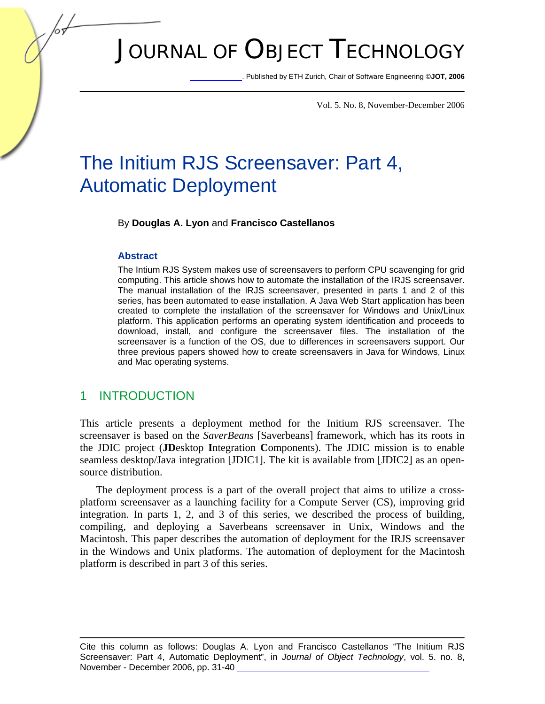# JOURNAL OF OBJECT TECHNOLOGY

. Published by ETH Zurich, Chair of Software Engineering ©**JOT, 2006** 

Vol. 5. No. 8, November-December 2006

## The Initium RJS Screensaver: Part 4, Automatic Deployment

By **Douglas A. Lyon** and **Francisco Castellanos**

#### **Abstract**

The Intium RJS System makes use of screensavers to perform CPU scavenging for grid computing. This article shows how to automate the installation of the IRJS screensaver. The manual installation of the IRJS screensaver, presented in parts 1 and 2 of this series, has been automated to ease installation. A Java Web Start application has been created to complete the installation of the screensaver for Windows and Unix/Linux platform. This application performs an operating system identification and proceeds to download, install, and configure the screensaver files. The installation of the screensaver is a function of the OS, due to differences in screensavers support. Our three previous papers showed how to create screensavers in Java for Windows, Linux and Mac operating systems.

#### 1 INTRODUCTION

This article presents a deployment method for the Initium RJS screensaver. The screensaver is based on the *SaverBeans* [Saverbeans] framework, which has its roots in the JDIC project (**JD**esktop **I**ntegration **C**omponents). The JDIC mission is to enable seamless desktop/Java integration [JDIC1]. The kit is available from [JDIC2] as an opensource distribution.

The deployment process is a part of the overall project that aims to utilize a crossplatform screensaver as a launching facility for a Compute Server (CS), improving grid integration. In parts 1, 2, and 3 of this series*,* we described the process of building, compiling, and deploying a Saverbeans screensaver in Unix, Windows and the Macintosh. This paper describes the automation of deployment for the IRJS screensaver in the Windows and Unix platforms. The automation of deployment for the Macintosh platform is described in part 3 of this series.

Cite this column as follows: Douglas A. Lyon and Francisco Castellanos "The Initium RJS Screensaver: Part 4, Automatic Deployment", in *Journal of Object Technology*, vol. 5. no. 8, November - December 2006, pp. 31-40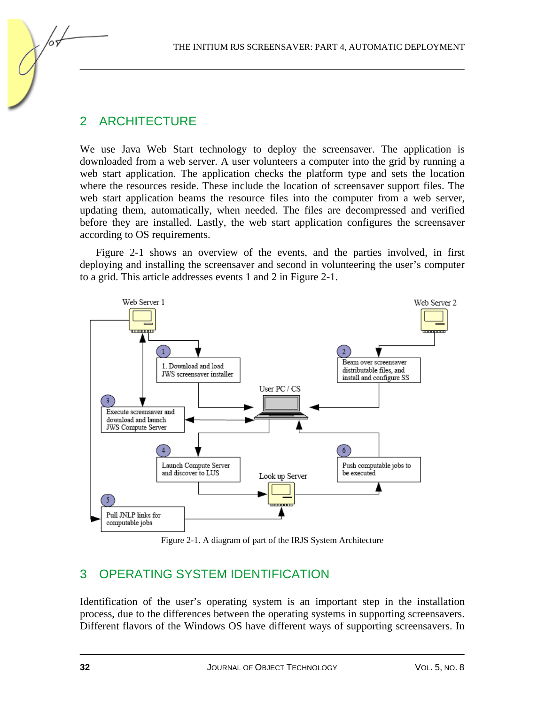## 2 ARCHITECTURE

We use Java Web Start technology to deploy the screensaver. The application is downloaded from a web server. A user volunteers a computer into the grid by running a web start application. The application checks the platform type and sets the location where the resources reside. These include the location of screensaver support files. The web start application beams the resource files into the computer from a web server, updating them, automatically, when needed. The files are decompressed and verified before they are installed. Lastly, the web start application configures the screensaver according to OS requirements.

Figure 2-1 shows an overview of the events, and the parties involved, in first deploying and installing the screensaver and second in volunteering the user's computer to a grid. This article addresses events 1 and 2 in Figure 2-1.



Figure 2-1. A diagram of part of the IRJS System Architecture

## 3 OPERATING SYSTEM IDENTIFICATION

Identification of the user's operating system is an important step in the installation process, due to the differences between the operating systems in supporting screensavers. Different flavors of the Windows OS have different ways of supporting screensavers. In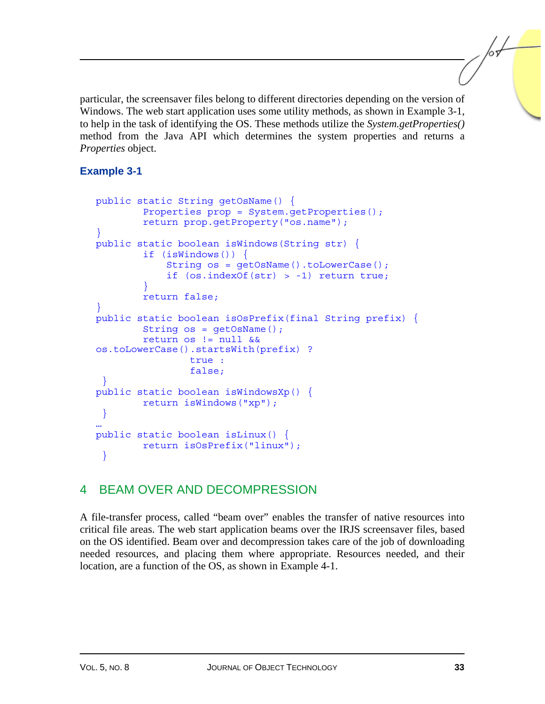particular, the screensaver files belong to different directories depending on the version of Windows. The web start application uses some utility methods, as shown in Example 3-1, to help in the task of identifying the OS. These methods utilize the *System.getProperties()* method from the Java API which determines the system properties and returns a *Properties* object.

### **Example 3-1**

```
public static String getOsName() { 
         Properties prop = System.getProperties(); 
         return prop.getProperty("os.name"); 
} 
public static boolean isWindows(String str) { 
         if (isWindows()) { 
              String os = getOsName().toLowerCase(); 
              if (os.indexOf(str) > -1) return true; 
 } 
         return false; 
} 
public static boolean isOsPrefix(final String prefix) { 
         String os = getOsName(); 
         return os != null && 
os.toLowerCase().startsWith(prefix) ? 
                  true : 
                  false; 
  } 
public static boolean isWindowsXp() { 
         return isWindows("xp"); 
  } 
… 
public static boolean isLinux() { 
         return isOsPrefix("linux"); 
  }
```
## 4 BEAM OVER AND DECOMPRESSION

A file-transfer process, called "beam over" enables the transfer of native resources into critical file areas. The web start application beams over the IRJS screensaver files, based on the OS identified. Beam over and decompression takes care of the job of downloading needed resources, and placing them where appropriate. Resources needed, and their location, are a function of the OS, as shown in Example 4-1.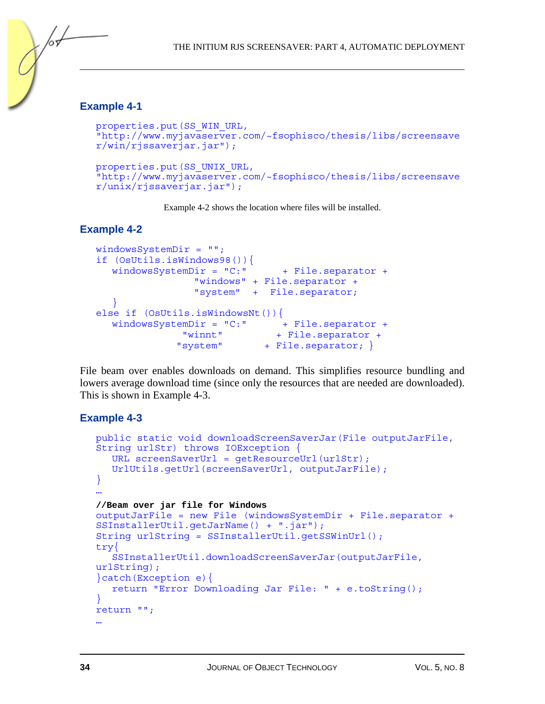#### **Example 4-1**

/or

```
properties.put(SS_WIN_URL, 
"http://www.myjavaserver.com/~fsophisco/thesis/libs/screensave
r/win/rjssaverjar.jar"); 
properties.put(SS_UNIX_URL, 
"http://www.myjavaserver.com/~fsophisco/thesis/libs/screensave
r/unix/rjssaverjar.jar");
```
Example 4-2 shows the location where files will be installed.

#### **Example 4-2**

```
windowsSystemDir = ""; 
if (OsUtils.isWindows98()){ 
  windowsSystemDir = "C:" + File.separator + "windows" + File.separator + 
                 "system" + File.separator; 
\rightarrow }
else if (OsUtils.isWindowsNt()) {
  windowsSystemDir = "C:" + File.separator +
               "winnt" + File.separator + 
              "system" + File.separator; }
```
File beam over enables downloads on demand. This simplifies resource bundling and lowers average download time (since only the resources that are needed are downloaded). This is shown in Example 4-3.

#### **Example 4-3**

```
public static void downloadScreenSaverJar(File outputJarFile, 
String urlStr) throws IOException { 
  URL screenSaverUrl = getResourceUrl(urlStr);
   UrlUtils.getUrl(screenSaverUrl, outputJarFile); 
}
… 
//Beam over jar file for Windows 
outputJarFile = new File (windowsSystemDir + File.separator + 
SSInstallerUtil.getJarName() + ".jar"); 
String urlString = SSInstallerUtil.getSSWinUrl(); 
try{ 
    SSInstallerUtil.downloadScreenSaverJar(outputJarFile, 
urlString); 
}catch(Exception e){ 
   return "Error Downloading Jar File: " + e.toString(); 
} 
return ""; 
…
```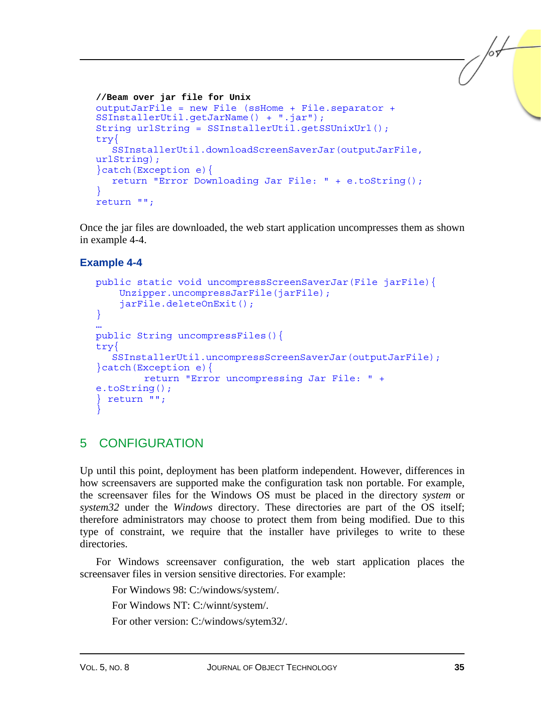```
//Beam over jar file for Unix 
outputJarFile = new File (ssHome + File.separator + 
SSInstallerUtil.getJarName() + ".jar"); 
String urlString = SSInstallerUtil.getSSUnixUrl(); 
try{ 
    SSInstallerUtil.downloadScreenSaverJar(outputJarFile, 
urlString); 
}catch(Exception e){ 
   return "Error Downloading Jar File: " + e.toString(); 
} 
return "";
```
Once the jar files are downloaded, the web start application uncompresses them as shown in example 4-4.

#### **Example 4-4**

```
public static void uncompressScreenSaverJar(File jarFile){ 
     Unzipper.uncompressJarFile(jarFile); 
     jarFile.deleteOnExit(); 
} 
… 
public String uncompressFiles(){ 
try{ 
    SSInstallerUtil.uncompressScreenSaverJar(outputJarFile); 
}catch(Exception e){ 
         return "Error uncompressing Jar File: " + 
e.toString(); 
 return "";
}
```
## 5 CONFIGURATION

Up until this point, deployment has been platform independent. However, differences in how screensavers are supported make the configuration task non portable. For example, the screensaver files for the Windows OS must be placed in the directory *system* or *system32* under the *Windows* directory. These directories are part of the OS itself; therefore administrators may choose to protect them from being modified. Due to this type of constraint, we require that the installer have privileges to write to these directories.

For Windows screensaver configuration, the web start application places the screensaver files in version sensitive directories. For example:

For Windows 98: C:/windows/system/.

For Windows NT: C:/winnt/system/.

For other version: C:/windows/sytem32/.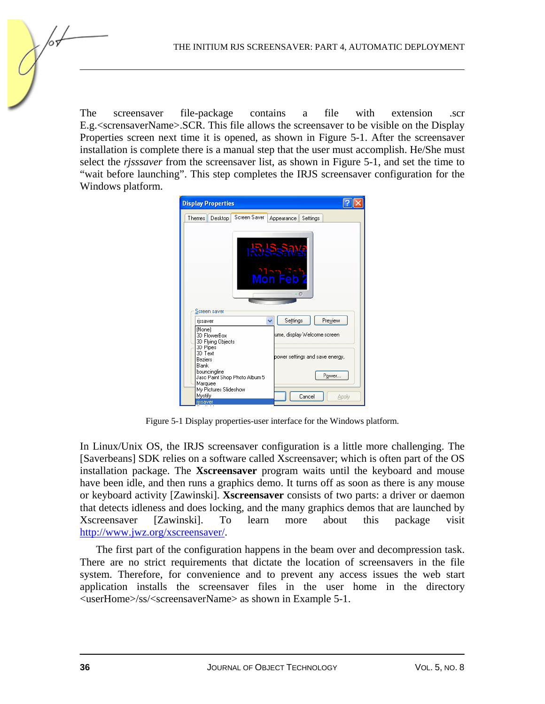The screensaver file-package contains a file with extension .scr E.g.<scrensaverName>.SCR. This file allows the screensaver to be visible on the Display Properties screen next time it is opened, as shown in Figure 5-1. After the screensaver installation is complete there is a manual step that the user must accomplish. He/She must select the *rjsssaver* from the screensaver list, as shown in Figure 5-1, and set the time to "wait before launching". This step completes the IRJS screensaver configuration for the Windows platform.



Figure 5-1 Display properties-user interface for the Windows platform.

In Linux/Unix OS, the IRJS screensaver configuration is a little more challenging. The [Saverbeans] SDK relies on a software called Xscreensaver; which is often part of the OS installation package. The **Xscreensaver** program waits until the keyboard and mouse have been idle, and then runs a graphics demo. It turns off as soon as there is any mouse or keyboard activity [Zawinski]. **Xscreensaver** consists of two parts: a driver or daemon that detects idleness and does locking, and the many graphics demos that are launched by Xscreensaver [Zawinski]. To learn more about this package visit http://www.jwz.org/xscreensaver/.

The first part of the configuration happens in the beam over and decompression task. There are no strict requirements that dictate the location of screensavers in the file system. Therefore, for convenience and to prevent any access issues the web start application installs the screensaver files in the user home in the directory <userHome>/ss/<screensaverName> as shown in Example 5-1.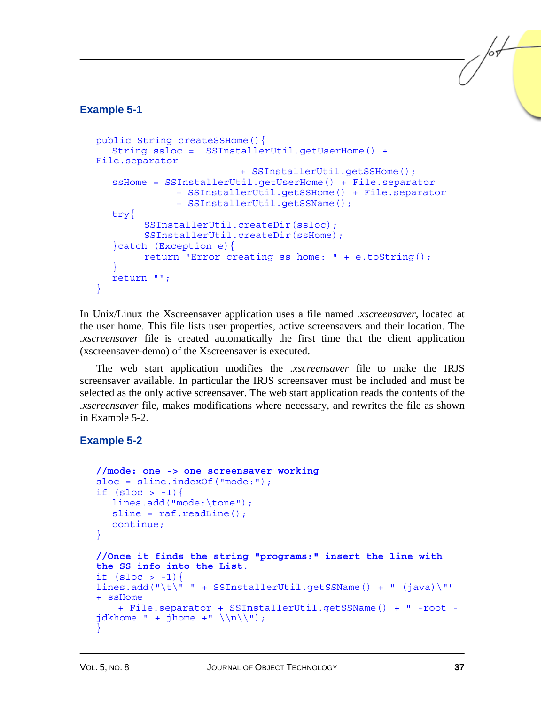#### **Example 5-1**

```
public String createSSHome(){ 
    String ssloc = SSInstallerUtil.getUserHome() + 
File.separator 
                            + SSInstallerUtil.getSSHome(); 
    ssHome = SSInstallerUtil.getUserHome() + File.separator 
                + SSInstallerUtil.getSSHome() + File.separator 
                + SSInstallerUtil.getSSName(); 
    try{ 
          SSInstallerUtil.createDir(ssloc); 
          SSInstallerUtil.createDir(ssHome); 
    }catch (Exception e){ 
          return "Error creating ss home: " + e.toString(); 
\rightarrow }
   return ""; 
}
```
In Unix/Linux the Xscreensaver application uses a file named *.xscreensaver*, located at the user home. This file lists user properties, active screensavers and their location. The *.xscreensaver* file is created automatically the first time that the client application (xscreensaver-demo) of the Xscreensaver is executed.

The web start application modifies the *.xscreensaver* file to make the IRJS screensaver available. In particular the IRJS screensaver must be included and must be selected as the only active screensaver. The web start application reads the contents of the *.xscreensaver* file, makes modifications where necessary, and rewrites the file as shown in Example 5-2.

#### **Example 5-2**

```
//mode: one -> one screensaver working 
sloc = sline.indexOf("mode:"); 
if (sloc > -1) {
   lines.add("mode:\tone"); 
  sline = raf.readLine();
   continue; 
} 
//Once it finds the string "programs:" insert the line with 
the SS info into the List. 
if (sloc > -1)lines.add("t)" + SSInstallerUtil.getSSName() + " (java)'''+ ssHome 
     + File.separator + SSInstallerUtil.getSSName() + " -root -
jdkhome " + jhome +" \ln\{\n \};
}
```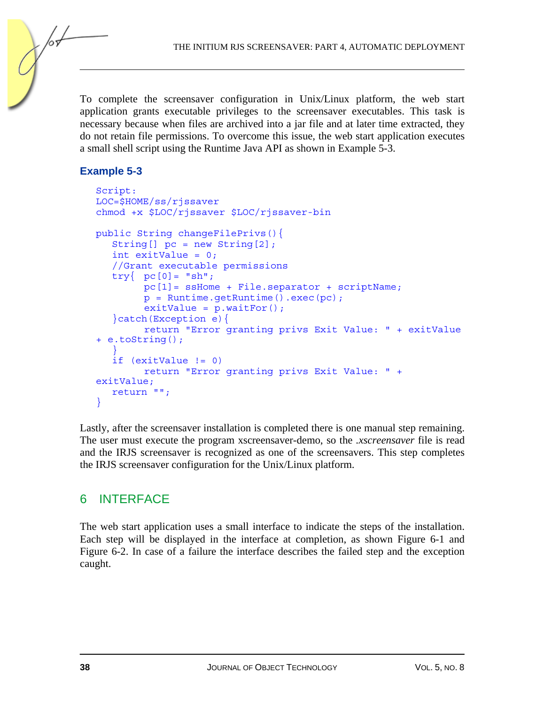To complete the screensaver configuration in Unix/Linux platform, the web start application grants executable privileges to the screensaver executables. This task is necessary because when files are archived into a jar file and at later time extracted, they do not retain file permissions. To overcome this issue, the web start application executes a small shell script using the Runtime Java API as shown in Example 5-3.

#### **Example 5-3**

```
Script: 
LOC=$HOME/ss/rjssaver 
chmod +x $LOC/rjssaver $LOC/rjssaver-bin 
public String changeFilePrivs(){ 
    String[] pc = new String[2]; 
    int exitValue = 0; 
    //Grant executable permissions 
   try{ pc[0] = "sh"; pc[1]= ssHome + File.separator + scriptName; 
          p = Runtime.getRuntime().exec(pc); 
         extValue = p.waitFor(); }catch(Exception e){ 
          return "Error granting privs Exit Value: " + exitValue 
+ e.toString(); 
\rightarrow }
    if (exitValue != 0) 
          return "Error granting privs Exit Value: " + 
exitValue; 
    return ""; 
}
```
Lastly, after the screensaver installation is completed there is one manual step remaining. The user must execute the program xscreensaver-demo, so the *.xscreensaver* file is read and the IRJS screensaver is recognized as one of the screensavers. This step completes the IRJS screensaver configuration for the Unix/Linux platform.

## 6 INTERFACE

The web start application uses a small interface to indicate the steps of the installation. Each step will be displayed in the interface at completion, as shown Figure 6-1 and Figure 6-2. In case of a failure the interface describes the failed step and the exception caught.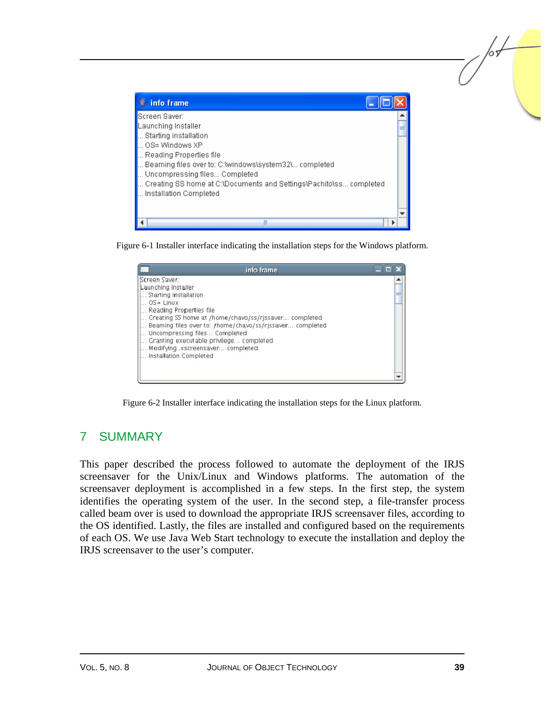| $\stackrel{\mathscr{L}}{\Longrightarrow}$ info frame                                                                                                                                                                                                                                                 |  |
|------------------------------------------------------------------------------------------------------------------------------------------------------------------------------------------------------------------------------------------------------------------------------------------------------|--|
| Screen Saver:<br>Launching Installer<br>Starting installation<br>OS= Windows XP<br>Reading Properties file<br>Beaming files over to: C:\windows\system32\ completed<br>Uncompressing files Completed<br>Creating SS home at C:\Documents and Settings\Pachito\ss completed<br>Installation Completed |  |
|                                                                                                                                                                                                                                                                                                      |  |

Figure 6-1 Installer interface indicating the installation steps for the Windows platform.



Figure 6-2 Installer interface indicating the installation steps for the Linux platform.

## 7 SUMMARY

This paper described the process followed to automate the deployment of the IRJS screensaver for the Unix/Linux and Windows platforms. The automation of the screensaver deployment is accomplished in a few steps. In the first step, the system identifies the operating system of the user. In the second step, a file-transfer process called beam over is used to download the appropriate IRJS screensaver files, according to the OS identified. Lastly, the files are installed and configured based on the requirements of each OS. We use Java Web Start technology to execute the installation and deploy the IRJS screensaver to the user's computer.

/or